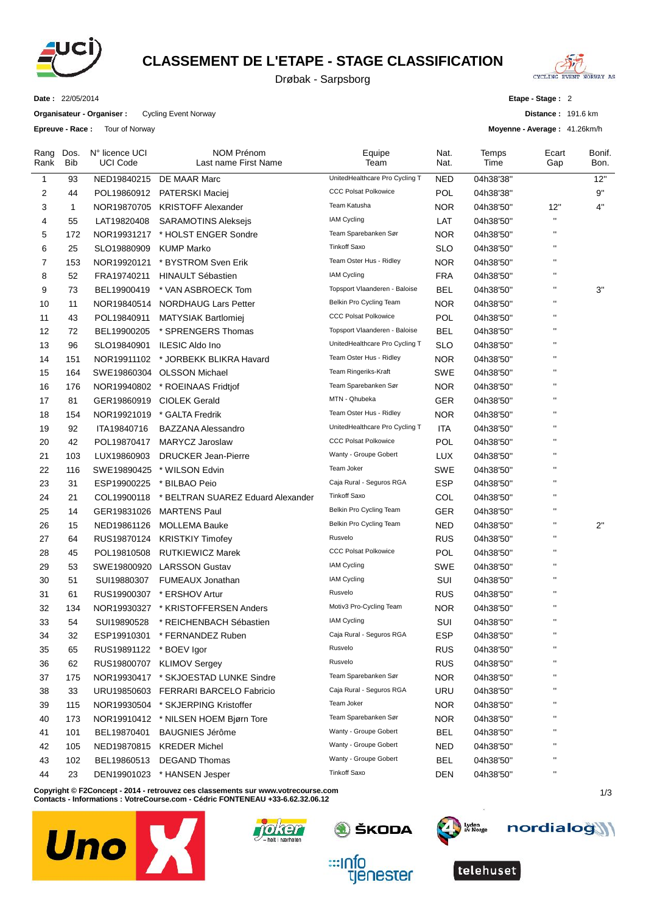

## **CLASSEMENT DE L'ETAPE - STAGE CLASSIFICATION**

Drøbak - Sarpsborg



**Date :** 22/05/2014

**Organisateur - Organiser :** Cycling Event Norway

**Epreuve - Race :** Tour of Norway

**Etape - Stage :** 2

**Distance :** 191.6 km

**Moyenne - Average :** 41.26km/h

| Rang<br>Rank | Dos.<br><b>Bib</b> | N° licence UCI<br><b>UCI Code</b> | <b>NOM Prénom</b><br>Last name First Name | Equipe<br>Team                 | Nat.<br>Nat. | Temps<br>Time | Ecart<br>Gap       | Bonif.<br>Bon. |
|--------------|--------------------|-----------------------------------|-------------------------------------------|--------------------------------|--------------|---------------|--------------------|----------------|
| 1            | 93                 | NED19840215                       | DE MAAR Marc                              | UnitedHealthcare Pro Cycling T | <b>NED</b>   | 04h38'38"     |                    | 12"            |
| 2            | 44                 | POL19860912                       | PATERSKI Maciej                           | <b>CCC Polsat Polkowice</b>    | <b>POL</b>   | 04h38'38"     |                    | 9"             |
| 3            | $\mathbf{1}$       | NOR19870705                       | <b>KRISTOFF Alexander</b>                 | Team Katusha                   | <b>NOR</b>   | 04h38'50"     | 12"                | 4"             |
| 4            | 55                 | LAT19820408                       | <b>SARAMOTINS Alekseis</b>                | IAM Cycling                    | LAT          | 04h38'50"     | $\pmb{\mathsf{u}}$ |                |
| 5            | 172                | NOR19931217                       | * HOLST ENGER Sondre                      | Team Sparebanken Sør           | <b>NOR</b>   | 04h38'50"     | $\pmb{\mathsf{H}}$ |                |
| 6            | 25                 | SLO19880909                       | <b>KUMP Marko</b>                         | <b>Tinkoff Saxo</b>            | <b>SLO</b>   | 04h38'50"     | $\mathbf{H}$       |                |
| 7            | 153                | NOR19920121                       | * BYSTROM Sven Erik                       | Team Oster Hus - Ridley        | <b>NOR</b>   | 04h38'50"     | $\mathbf H$        |                |
| 8            | 52                 | FRA19740211                       | <b>HINAULT Sébastien</b>                  | IAM Cycling                    | <b>FRA</b>   | 04h38'50"     | $\mathbf{H}$       |                |
| 9            | 73                 | BEL19900419                       | * VAN ASBROECK Tom                        | Topsport Vlaanderen - Baloise  | <b>BEL</b>   | 04h38'50"     | $\pmb{\mathsf{H}}$ | 3"             |
| 10           | 11                 | NOR19840514                       | <b>NORDHAUG Lars Petter</b>               | Belkin Pro Cycling Team        | <b>NOR</b>   | 04h38'50"     | $\pmb{\mathsf{u}}$ |                |
| 11           | 43                 | POL19840911                       | <b>MATYSIAK Bartlomiej</b>                | <b>CCC Polsat Polkowice</b>    | POL          | 04h38'50"     | $\pmb{\mathsf{H}}$ |                |
| 12           | 72                 | BEL19900205                       | * SPRENGERS Thomas                        | Topsport Vlaanderen - Baloise  | <b>BEL</b>   | 04h38'50"     | $\pmb{\mathsf{u}}$ |                |
| 13           | 96                 | SLO19840901                       | <b>ILESIC Aldo Ino</b>                    | UnitedHealthcare Pro Cycling T | <b>SLO</b>   | 04h38'50"     | $\pmb{\mathsf{H}}$ |                |
| 14           | 151                | NOR19911102                       | * JORBEKK BLIKRA Havard                   | Team Oster Hus - Ridley        | <b>NOR</b>   | 04h38'50"     | $\mathbf{H}$       |                |
| 15           | 164                | SWE19860304                       | <b>OLSSON Michael</b>                     | Team Ringeriks-Kraft           | SWE          | 04h38'50"     | $\mathbf{H}$       |                |
| 16           | 176                | NOR19940802                       | * ROEINAAS Fridtjof                       | Team Sparebanken Sør           | <b>NOR</b>   | 04h38'50"     | $\pmb{\mathsf{u}}$ |                |
| 17           | 81                 | GER19860919                       | <b>CIOLEK Gerald</b>                      | MTN - Qhubeka                  | GER          | 04h38'50"     | $\blacksquare$     |                |
| 18           | 154                | NOR19921019                       | * GALTA Fredrik                           | Team Oster Hus - Ridley        | <b>NOR</b>   | 04h38'50"     | $\pmb{\mathsf{u}}$ |                |
| 19           | 92                 | ITA19840716                       | <b>BAZZANA Alessandro</b>                 | UnitedHealthcare Pro Cycling T | ITA          | 04h38'50"     | $\mathbf{H}$       |                |
| 20           | 42                 | POL19870417                       | <b>MARYCZ Jaroslaw</b>                    | <b>CCC Polsat Polkowice</b>    | POL          | 04h38'50"     | $\pmb{\mathsf{u}}$ |                |
| 21           | 103                | LUX19860903                       | <b>DRUCKER Jean-Pierre</b>                | Wanty - Groupe Gobert          | <b>LUX</b>   | 04h38'50"     | $\pmb{\mathsf{H}}$ |                |
| 22           | 116                | SWE19890425                       | * WILSON Edvin                            | Team Joker                     | <b>SWE</b>   | 04h38'50"     | $\mathbf{H}$       |                |
| 23           | 31                 | ESP19900225                       | * BILBAO Peio                             | Caja Rural - Seguros RGA       | <b>ESP</b>   | 04h38'50"     | $\mathbf{H}$       |                |
| 24           | 21                 | COL19900118                       | * BELTRAN SUAREZ Eduard Alexander         | <b>Tinkoff Saxo</b>            | COL          | 04h38'50"     | $\mathbf{H}$       |                |
| 25           | 14                 | GER19831026                       | <b>MARTENS Paul</b>                       | Belkin Pro Cycling Team        | <b>GER</b>   | 04h38'50"     | $\mathbf{H}$       |                |
| 26           | 15                 | NED19861126                       | <b>MOLLEMA Bauke</b>                      | Belkin Pro Cycling Team        | <b>NED</b>   | 04h38'50"     | $\pmb{\mathsf{u}}$ | 2"             |
| 27           | 64                 | RUS19870124                       | <b>KRISTKIY Timofey</b>                   | Rusvelo                        | <b>RUS</b>   | 04h38'50"     | $\mathbf{H}$       |                |
| 28           | 45                 | POL19810508                       | <b>RUTKIEWICZ Marek</b>                   | <b>CCC Polsat Polkowice</b>    | POL          | 04h38'50"     | $\pmb{\mathsf{H}}$ |                |
| 29           | 53                 | SWE19800920                       | <b>LARSSON Gustav</b>                     | IAM Cycling                    | <b>SWE</b>   | 04h38'50"     | $\mathbf{H}$       |                |
| 30           | 51                 | SUI19880307                       | FUMEAUX Jonathan                          | IAM Cycling                    | SUI          | 04h38'50"     | $\mathbf{H}$       |                |
| 31           | 61                 | RUS19900307                       | * ERSHOV Artur                            | Rusvelo                        | <b>RUS</b>   | 04h38'50"     | $\mathbf{H}$       |                |
| 32           | 134                | NOR19930327                       | * KRISTOFFERSEN Anders                    | Motiv3 Pro-Cycling Team        | <b>NOR</b>   | 04h38'50"     | $\pmb{\mathsf{u}}$ |                |
| 33           | 54                 | SUI19890528                       | * REICHENBACH Sébastien                   | <b>IAM Cycling</b>             | SUI          | 04h38'50"     | $\pmb{\mathsf{H}}$ |                |
| 34           | 32                 | ESP19910301                       | * FERNANDEZ Ruben                         | Caja Rural - Seguros RGA       | ESP          | 04h38'50"     | $\mathbf{H}$       |                |
| 35           | 65                 | RUS19891122                       | * BOEV Igor                               | Rusvelo                        | <b>RUS</b>   | 04h38'50"     | $\blacksquare$     |                |
| 36           | 62                 | RUS19800707                       | <b>KLIMOV Sergey</b>                      | Rusvelo                        | <b>RUS</b>   | 04h38'50"     | .,                 |                |
| 37           | 175                | NOR19930417                       | * SKJOESTAD LUNKE Sindre                  | Team Sparebanken Sør           | <b>NOR</b>   | 04h38'50"     | $\pmb{\mathsf{H}}$ |                |
| 38           | 33                 | URU19850603                       | FERRARI BARCELO Fabricio                  | Caja Rural - Seguros RGA       | URU          | 04h38'50"     | $\mathbf{H}$       |                |
| 39           | 115                | NOR19930504                       | * SKJERPING Kristoffer                    | Team Joker                     | <b>NOR</b>   | 04h38'50"     | $\mathbf{H}$       |                |
| 40           | 173                | NOR19910412                       | * NILSEN HOEM Bjørn Tore                  | Team Sparebanken Sør           | <b>NOR</b>   | 04h38'50"     |                    |                |
| 41           | 101                | BEL19870401                       | <b>BAUGNIES Jérôme</b>                    | Wanty - Groupe Gobert          | <b>BEL</b>   | 04h38'50"     | $\pmb{\mathsf{H}}$ |                |
| 42           | 105                | NED19870815                       | <b>KREDER Michel</b>                      | Wanty - Groupe Gobert          | <b>NED</b>   | 04h38'50"     | $\mathbf{H}$       |                |
| 43           | 102                | BEL19860513                       | <b>DEGAND Thomas</b>                      | Wanty - Groupe Gobert          | <b>BEL</b>   | 04h38'50"     | $\mathbf{H}$       |                |
| 44           | 23                 | DEN19901023                       | * HANSEN Jesper                           | <b>Tinkoff Saxo</b>            | <b>DEN</b>   | 04h38'50"     | $\mathbf{H}$       |                |

**C** 1/3 **opyright © F2Concept - 2014 - retrouvez ces classements sur www.votrecourse.com Contacts - Informations : VotreCourse.com - Cédric FONTENEAU +33-6.62.32.06.12**







uinfo<br>Tjenester



telehuset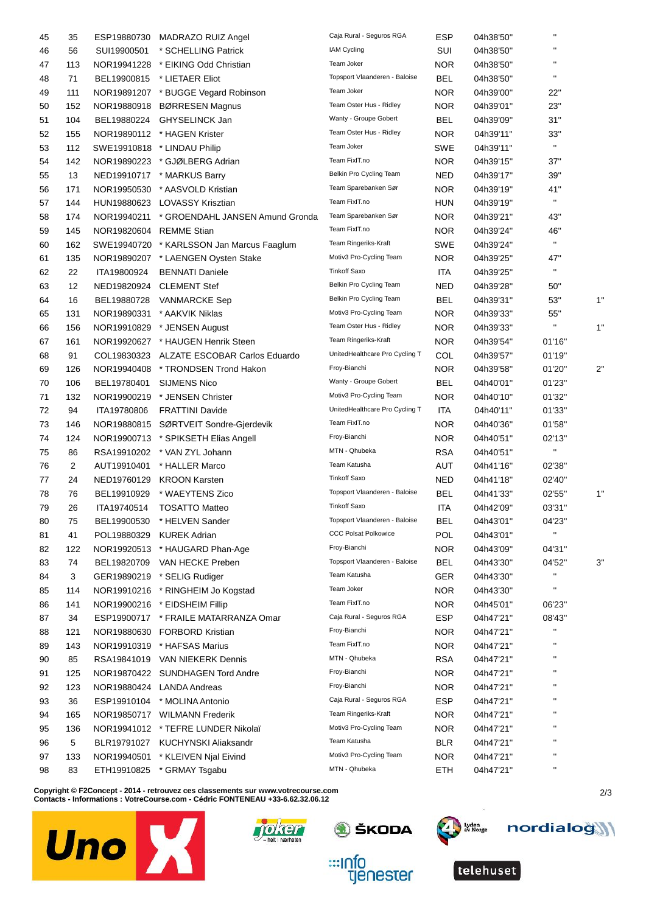| 45 | 35             | ESP19880730 | MADRAZO RUIZ Angel                        | Caja Rural - Seguros RGA       | <b>ESP</b> | 04h38'50" | $\mathbf{H}$           |    |
|----|----------------|-------------|-------------------------------------------|--------------------------------|------------|-----------|------------------------|----|
| 46 | 56             | SUI19900501 | * SCHELLING Patrick                       | IAM Cycling                    | SUI        | 04h38'50" | $\pmb{\mathsf{H}}$     |    |
| 47 | 113            | NOR19941228 | * EIKING Odd Christian                    | Team Joker                     | <b>NOR</b> | 04h38'50" | $\pmb{\mathsf{H}}$     |    |
| 48 | 71             | BEL19900815 | * LIETAER Eliot                           | Topsport Vlaanderen - Baloise  | <b>BEL</b> | 04h38'50" | .,                     |    |
| 49 | 111            | NOR19891207 | * BUGGE Vegard Robinson                   | Team Joker                     | <b>NOR</b> | 04h39'00" | 22"                    |    |
| 50 | 152            | NOR19880918 | <b>BØRRESEN Magnus</b>                    | Team Oster Hus - Ridley        | <b>NOR</b> | 04h39'01" | 23"                    |    |
| 51 | 104            | BEL19880224 | <b>GHYSELINCK Jan</b>                     | Wanty - Groupe Gobert          | BEL        | 04h39'09" | 31"                    |    |
| 52 | 155            | NOR19890112 | * HAGEN Krister                           | Team Oster Hus - Ridley        | <b>NOR</b> | 04h39'11" | 33"                    |    |
| 53 | 112            | SWE19910818 | * LINDAU Philip                           | Team Joker                     | SWE        | 04h39'11" | $\mathbf{H}$           |    |
| 54 | 142            | NOR19890223 | * GJØLBERG Adrian                         | Team FixIT.no                  | <b>NOR</b> | 04h39'15" | 37"                    |    |
| 55 | 13             | NED19910717 | * MARKUS Barry                            | Belkin Pro Cycling Team        | <b>NED</b> | 04h39'17" | 39"                    |    |
| 56 | 171            | NOR19950530 | * AASVOLD Kristian                        | Team Sparebanken Sør           | <b>NOR</b> | 04h39'19" | 41"                    |    |
| 57 | 144            | HUN19880623 | <b>LOVASSY Krisztian</b>                  | Team FixIT.no                  | <b>HUN</b> | 04h39'19" | $\mathbf{H}$           |    |
| 58 | 174            | NOR19940211 | * GROENDAHL JANSEN Amund Gronda           | Team Sparebanken Sør           | <b>NOR</b> | 04h39'21" | 43"                    |    |
| 59 | 145            | NOR19820604 | <b>REMME Stian</b>                        | Team FixIT.no                  | <b>NOR</b> | 04h39'24" | 46"                    |    |
| 60 | 162            |             | SWE19940720 * KARLSSON Jan Marcus Faaglum | Team Ringeriks-Kraft           | SWE        | 04h39'24" | $\pmb{\mathsf{H}}$     |    |
|    |                |             | NOR19890207 * LAENGEN Oysten Stake        | Motiv3 Pro-Cycling Team        | <b>NOR</b> | 04h39'25" | 47"                    |    |
| 61 | 135            |             | <b>BENNATI Daniele</b>                    | <b>Tinkoff Saxo</b>            |            |           | $\pmb{\mathsf{H}}$     |    |
| 62 | 22             | ITA19800924 |                                           | Belkin Pro Cycling Team        | <b>ITA</b> | 04h39'25" |                        |    |
| 63 | 12             | NED19820924 | <b>CLEMENT Stef</b>                       | Belkin Pro Cycling Team        | <b>NED</b> | 04h39'28" | 50"                    |    |
| 64 | 16             | BEL19880728 | <b>VANMARCKE Sep</b>                      |                                | <b>BEL</b> | 04h39'31" | 53"                    | 1" |
| 65 | 131            | NOR19890331 | * AAKVIK Niklas                           | Motiv3 Pro-Cycling Team        | <b>NOR</b> | 04h39'33" | 55"                    |    |
| 66 | 156            | NOR19910829 | * JENSEN August                           | Team Oster Hus - Ridley        | <b>NOR</b> | 04h39'33" |                        | 1" |
| 67 | 161            | NOR19920627 | * HAUGEN Henrik Steen                     | Team Ringeriks-Kraft           | <b>NOR</b> | 04h39'54" | 01'16"                 |    |
| 68 | 91             | COL19830323 | ALZATE ESCOBAR Carlos Eduardo             | UnitedHealthcare Pro Cycling T | COL        | 04h39'57" | 01'19"                 |    |
| 69 | 126            | NOR19940408 | * TRONDSEN Trond Hakon                    | Froy-Bianchi                   | <b>NOR</b> | 04h39'58" | 01'20"                 | 2" |
| 70 | 106            | BEL19780401 | <b>SIJMENS Nico</b>                       | Wanty - Groupe Gobert          | <b>BEL</b> | 04h40'01" | 01'23"                 |    |
| 71 | 132            | NOR19900219 | * JENSEN Christer                         | Motiv3 Pro-Cycling Team        | <b>NOR</b> | 04h40'10" | 01'32"                 |    |
| 72 | 94             | ITA19780806 | <b>FRATTINI Davide</b>                    | UnitedHealthcare Pro Cycling T | ITA        | 04h40'11" | 01'33"                 |    |
| 73 | 146            | NOR19880815 | SØRTVEIT Sondre-Gjerdevik                 | Team FixIT.no                  | <b>NOR</b> | 04h40'36" | 01'58"                 |    |
| 74 | 124            | NOR19900713 | * SPIKSETH Elias Angell                   | Froy-Bianchi                   | <b>NOR</b> | 04h40'51" | 02'13"                 |    |
| 75 | 86             | RSA19910202 | * VAN ZYL Johann                          | MTN - Qhubeka                  | <b>RSA</b> | 04h40'51" | .,                     |    |
| 76 | $\overline{c}$ | AUT19910401 | * HALLER Marco                            | Team Katusha                   | AUT        | 04h41'16" | 02'38"                 |    |
| 77 | 24             | NED19760129 | <b>KROON Karsten</b>                      | <b>Tinkoff Saxo</b>            | <b>NED</b> | 04h41'18" | 02'40"                 |    |
| 78 | 76             | BEL19910929 | * WAEYTENS Zico                           | Topsport Vlaanderen - Baloise  | BEL        | 04h41'33" | 02'55"                 | 1" |
| 79 | 26             | ITA19740514 | <b>TOSATTO Matteo</b>                     | <b>Tinkoff Saxo</b>            | <b>ITA</b> | 04h42'09" | 03'31"                 |    |
| 80 | 75             | BEL19900530 | <b>HELVEN Sander</b>                      | Topsport Vlaanderen - Baloise  | BEL        | 04h43'01" | 04'23"                 |    |
| 81 | 41             | POL19880329 | <b>KUREK Adrian</b>                       | <b>CCC Polsat Polkowice</b>    | POL        | 04h43'01" | $\blacksquare$         |    |
| 82 | 122            | NOR19920513 | * HAUGARD Phan-Age                        | Froy-Bianchi                   | <b>NOR</b> | 04h43'09" | 04'31"                 |    |
| 83 | 74             | BEL19820709 | VAN HECKE Preben                          | Topsport Vlaanderen - Baloise  | <b>BEL</b> | 04h43'30" | 04'52"                 | 3' |
| 84 | 3              | GER19890219 | * SELIG Rudiger                           | Team Katusha                   | <b>GER</b> | 04h43'30" | $\pmb{\mathsf{H}}$     |    |
| 85 | 114            | NOR19910216 | * RINGHEIM Jo Kogstad                     | Team Joker                     | NOR        | 04h43'30" | $\pmb{\mathsf{H}}$     |    |
| 86 | 141            | NOR19900216 | * EIDSHEIM Fillip                         | Team FixIT.no                  | <b>NOR</b> | 04h45'01" | 06'23"                 |    |
| 87 | 34             | ESP19900717 | * FRAILE MATARRANZA Omar                  | Caja Rural - Seguros RGA       | <b>ESP</b> | 04h47'21" | 08'43"                 |    |
| 88 | 121            | NOR19880630 | <b>FORBORD Kristian</b>                   | Froy-Bianchi                   | NOR        | 04h47'21" | $\mathbf{H}$           |    |
| 89 | 143            | NOR19910319 | * HAFSAS Marius                           | Team FixIT.no                  | <b>NOR</b> | 04h47'21" | $\pmb{\mathsf{H}}$     |    |
| 90 | 85             | RSA19841019 | <b>VAN NIEKERK Dennis</b>                 | MTN - Qhubeka                  | <b>RSA</b> | 04h47'21" | $\blacksquare$         |    |
| 91 | 125            | NOR19870422 | <b>SUNDHAGEN Tord Andre</b>               | Froy-Bianchi                   | <b>NOR</b> | 04h47'21" | $\pmb{\shortparallel}$ |    |
| 92 | 123            | NOR19880424 | LANDA Andreas                             | Froy-Bianchi                   | NOR.       | 04h47'21" | $\pmb{\mathsf{H}}$     |    |
| 93 | 36             | ESP19910104 | * MOLINA Antonio                          | Caja Rural - Seguros RGA       | <b>ESP</b> | 04h47'21" | $\pmb{\mathsf{H}}$     |    |
| 94 | 165            | NOR19850717 | <b>WILMANN Frederik</b>                   | Team Ringeriks-Kraft           | <b>NOR</b> | 04h47'21" | $\pmb{\mathsf{H}}$     |    |
|    |                |             | * TEFRE LUNDER Nikolaï                    | Motiv3 Pro-Cycling Team        | <b>NOR</b> |           | $\pmb{\mathsf{H}}$     |    |
| 95 | 136            | NOR19941012 |                                           | Team Katusha                   |            | 04h47'21" | $\pmb{\mathsf{H}}$     |    |
| 96 | 5              | BLR19791027 | KUCHYNSKI Aliaksandr                      | Motiv3 Pro-Cycling Team        | <b>BLR</b> | 04h47'21" | $\pmb{\mathsf{H}}$     |    |
| 97 | 133            | NOR19940501 | * KLEIVEN Njal Eivind                     | MTN - Qhubeka                  | NOR.       | 04h47'21" | $\blacksquare$         |    |
| 98 | 83             | ETH19910825 | * GRMAY Tsgabu                            |                                | <b>ETH</b> | 04h47'21" |                        |    |

**C** 2/3 **opyright © F2Concept - 2014 - retrouvez ces classements sur www.votrecourse.com Contacts - Informations : VotreCourse.com - Cédric FONTENEAU +33-6.62.32.06.12**